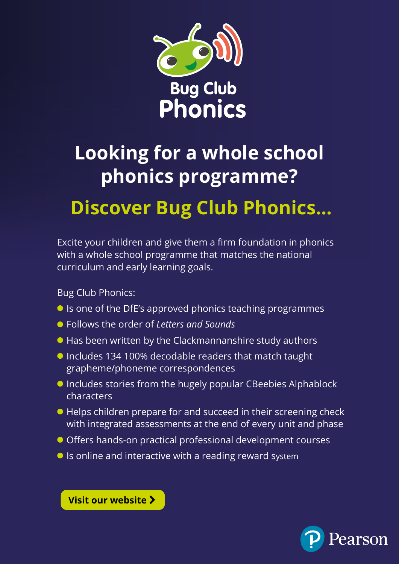

## **Looking for a whole school phonics programme? [Discover Bug Club Phonics...](https://www.pearsonschoolsandfecolleges.co.uk/Primary/Literacy/AllLiteracyresources/bug-club-phonics/bug-club-phonics.aspx?utm_source=teachit&utm_medium=email&utm_campaign=GBPREN0120BCPNS)**

Excite your children and give them a firm foundation in phonics with a whole school programme that matches the national curriculum and early learning goals.

Bug Club Phonics:

- **•** Is one of the DfE's approved phonics teaching programmes
- l Follows the order of *Letters and Sounds*
- $\bullet$  Has been written by the Clackmannanshire study authors
- **Includes 134 100% decodable readers that match taught** grapheme/phoneme correspondences
- **Includes stories from the hugely popular CBeebies Alphablock** characters
- l Helps children prepare for and succeed in their screening check with integrated assessments at the end of every unit and phase
- l Offers hands-on practical professional development courses
- $\bullet$  Is online and interactive with a reading reward system



**[Visit our website](https://www.pearsonschoolsandfecolleges.co.uk/Primary/Literacy/AllLiteracyresources/bug-club-phonics/Buy/View-all-products-and-buy.aspx?utm_source=teachit&utm_medium=email&utm_campaign=GBPREN0120BCPNS)**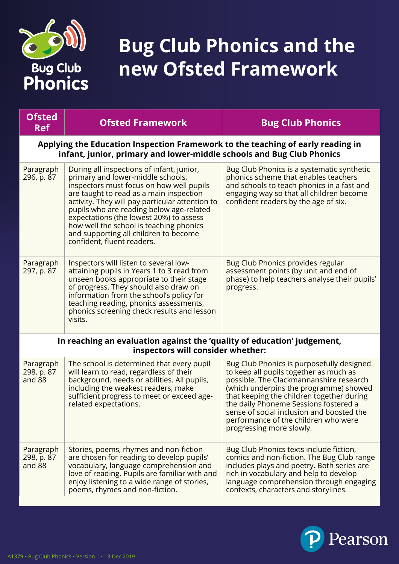

## **Bug Club Phonics and the new Ofsted Framework**

| <b>Ofsted</b><br><b>Ref</b>                                                                                                                              | <b>Ofsted Framework</b>                                                                                                                                                                                                                                                                                                                                                                                                           | <b>Bug Club Phonics</b>                                                                                                                                                                                                                                                                                                                                                         |
|----------------------------------------------------------------------------------------------------------------------------------------------------------|-----------------------------------------------------------------------------------------------------------------------------------------------------------------------------------------------------------------------------------------------------------------------------------------------------------------------------------------------------------------------------------------------------------------------------------|---------------------------------------------------------------------------------------------------------------------------------------------------------------------------------------------------------------------------------------------------------------------------------------------------------------------------------------------------------------------------------|
| Applying the Education Inspection Framework to the teaching of early reading in<br>infant, junior, primary and lower-middle schools and Bug Club Phonics |                                                                                                                                                                                                                                                                                                                                                                                                                                   |                                                                                                                                                                                                                                                                                                                                                                                 |
| Paragraph<br>296, p. 87                                                                                                                                  | During all inspections of infant, junior,<br>primary and lower-middle schools,<br>inspectors must focus on how well pupils<br>are taught to read as a main inspection<br>activity. They will pay particular attention to<br>pupils who are reading below age-related<br>expectations (the lowest 20%) to assess<br>how well the school is teaching phonics<br>and supporting all children to become<br>confident, fluent readers. | Bug Club Phonics is a systematic synthetic<br>phonics scheme that enables teachers<br>and schools to teach phonics in a fast and<br>engaging way so that all children become<br>confident readers by the age of six.                                                                                                                                                            |
| Paragraph<br>297, p. 87                                                                                                                                  | Inspectors will listen to several low-<br>attaining pupils in Years 1 to 3 read from<br>unseen books appropriate to their stage<br>of progress. They should also draw on<br>information from the school's policy for<br>teaching reading, phonics assessments,<br>phonics screening check results and lesson<br>visits.                                                                                                           | Bug Club Phonics provides regular<br>assessment points (by unit and end of<br>phase) to help teachers analyse their pupils'<br>progress.                                                                                                                                                                                                                                        |
|                                                                                                                                                          | In reaching an evaluation against the 'quality of education' judgement,<br>inspectors will consider whether:                                                                                                                                                                                                                                                                                                                      |                                                                                                                                                                                                                                                                                                                                                                                 |
| Paragraph<br>298, p. 87<br>and 88                                                                                                                        | The school is determined that every pupil<br>will learn to read, regardless of their<br>background, needs or abilities. All pupils,<br>including the weakest readers, make<br>sufficient progress to meet or exceed age-<br>related expectations.                                                                                                                                                                                 | Bug Club Phonics is purposefully designed<br>to keep all pupils together as much as<br>possible. The Clackmannanshire research<br>(which underpins the programme) showed<br>that keeping the children together during<br>the daily Phoneme Sessions fostered a<br>sense of social inclusion and boosted the<br>performance of the children who were<br>progressing more slowly. |
| Paragraph<br>298, p. 87<br>and 88                                                                                                                        | Stories, poems, rhymes and non-fiction<br>are chosen for reading to develop pupils'<br>vocabulary, language comprehension and<br>love of reading. Pupils are familiar with and<br>enjoy listening to a wide range of stories,<br>poems, rhymes and non-fiction.                                                                                                                                                                   | Bug Club Phonics texts include fiction,<br>comics and non-fiction. The Bug Club range<br>includes plays and poetry. Both series are<br>rich in vocabulary and help to develop<br>language comprehension through engaging<br>contexts, characters and storylines.                                                                                                                |

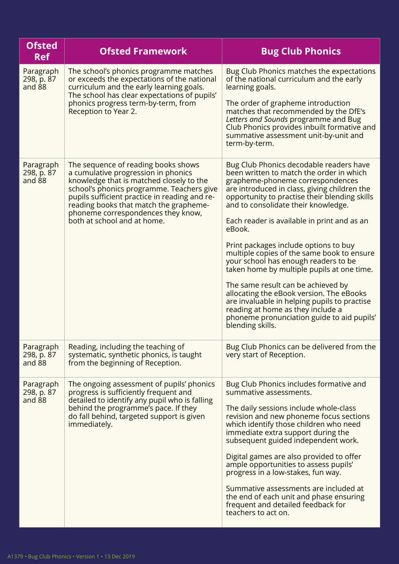| <b>Ofsted</b><br><b>Ref</b>       | <b>Ofsted Framework</b>                                                                                                                                                                                                                                                                                                             | <b>Bug Club Phonics</b>                                                                                                                                                                                                                                                                                                                                                                                                                                                                                                                                                                                                                                                                                                                        |
|-----------------------------------|-------------------------------------------------------------------------------------------------------------------------------------------------------------------------------------------------------------------------------------------------------------------------------------------------------------------------------------|------------------------------------------------------------------------------------------------------------------------------------------------------------------------------------------------------------------------------------------------------------------------------------------------------------------------------------------------------------------------------------------------------------------------------------------------------------------------------------------------------------------------------------------------------------------------------------------------------------------------------------------------------------------------------------------------------------------------------------------------|
| Paragraph<br>298, p. 87<br>and 88 | The school's phonics programme matches<br>or exceeds the expectations of the national<br>curriculum and the early learning goals.<br>The school has clear expectations of pupils'<br>phonics progress term-by-term, from<br>Reception to Year 2.                                                                                    | Bug Club Phonics matches the expectations<br>of the national curriculum and the early<br>learning goals.<br>The order of grapheme introduction<br>matches that recommended by the DfE's<br>Letters and Sounds programme and Bug<br>Club Phonics provides inbuilt formative and<br>summative assessment unit-by-unit and<br>term-by-term.                                                                                                                                                                                                                                                                                                                                                                                                       |
| Paragraph<br>298, p. 87<br>and 88 | The sequence of reading books shows<br>a cumulative progression in phonics<br>knowledge that is matched closely to the<br>school's phonics programme. Teachers give<br>pupils sufficient practice in reading and re-<br>reading books that match the grapheme-<br>phoneme correspondences they know,<br>both at school and at home. | Bug Club Phonics decodable readers have<br>been written to match the order in which<br>grapheme-phoneme correspondences<br>are introduced in class, giving children the<br>opportunity to practise their blending skills<br>and to consolidate their knowledge.<br>Each reader is available in print and as an<br>eBook.<br>Print packages include options to buy<br>multiple copies of the same book to ensure<br>your school has enough readers to be<br>taken home by multiple pupils at one time.<br>The same result can be achieved by<br>allocating the eBook version. The eBooks<br>are invaluable in helping pupils to practise<br>reading at home as they include a<br>phoneme pronunciation guide to aid pupils'<br>blending skills. |
| Paragraph<br>298, p. 87<br>and 88 | Reading, including the teaching of<br>systematic, synthetic phonics, is taught<br>from the beginning of Reception.                                                                                                                                                                                                                  | Bug Club Phonics can be delivered from the<br>very start of Reception.                                                                                                                                                                                                                                                                                                                                                                                                                                                                                                                                                                                                                                                                         |
| Paragraph<br>298, p. 87<br>and 88 | The ongoing assessment of pupils' phonics<br>progress is sufficiently frequent and<br>detailed to identify any pupil who is falling<br>behind the programme's pace. If they<br>do fall behind, targeted support is given<br>immediately.                                                                                            | Bug Club Phonics includes formative and<br>summative assessments.<br>The daily sessions include whole-class<br>revision and new phoneme focus sections<br>which identify those children who need<br>immediate extra support during the<br>subsequent guided independent work.<br>Digital games are also provided to offer<br>ample opportunities to assess pupils'<br>progress in a low-stakes, fun way.<br>Summative assessments are included at<br>the end of each unit and phase ensuring<br>frequent and detailed feedback for<br>teachers to act on.                                                                                                                                                                                      |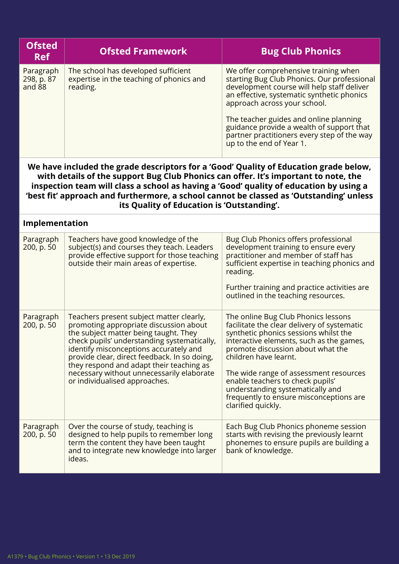| <b>Ofsted</b><br><b>Ref</b>       | <b>Ofsted Framework</b>                                                                     | <b>Bug Club Phonics</b>                                                                                                                                                                                                                                                                                                                                                           |
|-----------------------------------|---------------------------------------------------------------------------------------------|-----------------------------------------------------------------------------------------------------------------------------------------------------------------------------------------------------------------------------------------------------------------------------------------------------------------------------------------------------------------------------------|
| Paragraph<br>298, p. 87<br>and 88 | The school has developed sufficient<br>expertise in the teaching of phonics and<br>reading. | We offer comprehensive training when<br>starting Bug Club Phonics. Our professional<br>development course will help staff deliver<br>an effective, systematic synthetic phonics<br>approach across your school.<br>The teacher guides and online planning<br>guidance provide a wealth of support that<br>partner practitioners every step of the way<br>up to the end of Year 1. |

**We have included the grade descriptors for a 'Good' Quality of Education grade below, with details of the support Bug Club Phonics can offer. It's important to note, the inspection team will class a school as having a 'Good' quality of education by using a 'best fit' approach and furthermore, a school cannot be classed as 'Outstanding' unless its Quality of Education is 'Outstanding'.**

| Implementation          |                                                                                                                                                                                                                                                                                                                                                                                                |                                                                                                                                                                                                                                                                                                                                                                                                                          |
|-------------------------|------------------------------------------------------------------------------------------------------------------------------------------------------------------------------------------------------------------------------------------------------------------------------------------------------------------------------------------------------------------------------------------------|--------------------------------------------------------------------------------------------------------------------------------------------------------------------------------------------------------------------------------------------------------------------------------------------------------------------------------------------------------------------------------------------------------------------------|
| Paragraph<br>200, p. 50 | Teachers have good knowledge of the<br>subject(s) and courses they teach. Leaders<br>provide effective support for those teaching<br>outside their main areas of expertise.                                                                                                                                                                                                                    | Bug Club Phonics offers professional<br>development training to ensure every<br>practitioner and member of staff has<br>sufficient expertise in teaching phonics and<br>reading.<br>Further training and practice activities are<br>outlined in the teaching resources.                                                                                                                                                  |
| Paragraph<br>200, p. 50 | Teachers present subject matter clearly,<br>promoting appropriate discussion about<br>the subject matter being taught. They<br>check pupils' understanding systematically,<br>identify misconceptions accurately and<br>provide clear, direct feedback. In so doing,<br>they respond and adapt their teaching as<br>necessary without unnecessarily elaborate<br>or individualised approaches. | The online Bug Club Phonics lessons<br>facilitate the clear delivery of systematic<br>synthetic phonics sessions whilst the<br>interactive elements, such as the games,<br>promote discussion about what the<br>children have learnt.<br>The wide range of assessment resources<br>enable teachers to check pupils'<br>understanding systematically and<br>frequently to ensure misconceptions are<br>clarified quickly. |
| Paragraph<br>200, p. 50 | Over the course of study, teaching is<br>designed to help pupils to remember long<br>term the content they have been taught<br>and to integrate new knowledge into larger<br>ideas.                                                                                                                                                                                                            | Each Bug Club Phonics phoneme session<br>starts with revising the previously learnt<br>phonemes to ensure pupils are building a<br>bank of knowledge.                                                                                                                                                                                                                                                                    |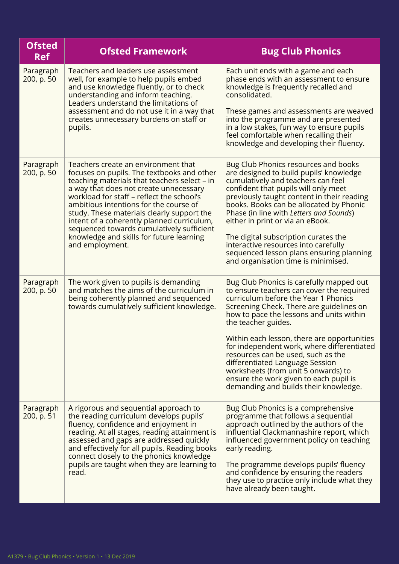| <b>Ofsted</b><br><b>Ref</b> | <b>Ofsted Framework</b>                                                                                                                                                                                                                                                                                                                                                                                                                                                    | <b>Bug Club Phonics</b>                                                                                                                                                                                                                                                                                                                                                                                                                                                                                                                      |
|-----------------------------|----------------------------------------------------------------------------------------------------------------------------------------------------------------------------------------------------------------------------------------------------------------------------------------------------------------------------------------------------------------------------------------------------------------------------------------------------------------------------|----------------------------------------------------------------------------------------------------------------------------------------------------------------------------------------------------------------------------------------------------------------------------------------------------------------------------------------------------------------------------------------------------------------------------------------------------------------------------------------------------------------------------------------------|
| Paragraph<br>200, p. 50     | Teachers and leaders use assessment<br>well, for example to help pupils embed<br>and use knowledge fluently, or to check<br>understanding and inform teaching.<br>Leaders understand the limitations of<br>assessment and do not use it in a way that<br>creates unnecessary burdens on staff or<br>pupils.                                                                                                                                                                | Each unit ends with a game and each<br>phase ends with an assessment to ensure<br>knowledge is frequently recalled and<br>consolidated.<br>These games and assessments are weaved<br>into the programme and are presented<br>in a low stakes, fun way to ensure pupils<br>feel comfortable when recalling their<br>knowledge and developing their fluency.                                                                                                                                                                                   |
| Paragraph<br>200, p. 50     | Teachers create an environment that<br>focuses on pupils. The textbooks and other<br>teaching materials that teachers select – in<br>a way that does not create unnecessary<br>workload for staff – reflect the school's<br>ambitious intentions for the course of<br>study. These materials clearly support the<br>intent of a coherently planned curriculum,<br>sequenced towards cumulatively sufficient<br>knowledge and skills for future learning<br>and employment. | Bug Club Phonics resources and books<br>are designed to build pupils' knowledge<br>cumulatively and teachers can feel<br>confident that pupils will only meet<br>previously taught content in their reading<br>books. Books can be allocated by Phonic<br>Phase (in line with Letters and Sounds)<br>either in print or via an eBook.<br>The digital subscription curates the<br>interactive resources into carefully<br>sequenced lesson plans ensuring planning<br>and organisation time is minimised.                                     |
| Paragraph<br>200, p. 50     | The work given to pupils is demanding<br>and matches the aims of the curriculum in<br>being coherently planned and sequenced<br>towards cumulatively sufficient knowledge.                                                                                                                                                                                                                                                                                                 | Bug Club Phonics is carefully mapped out<br>to ensure teachers can cover the required<br>curriculum before the Year 1 Phonics<br>Screening Check. There are guidelines on<br>how to pace the lessons and units within<br>the teacher guides.<br>Within each lesson, there are opportunities<br>for independent work, where differentiated<br>resources can be used, such as the<br>differentiated Language Session<br>worksheets (from unit 5 onwards) to<br>ensure the work given to each pupil is<br>demanding and builds their knowledge. |
| Paragraph<br>200, p. 51     | A rigorous and sequential approach to<br>the reading curriculum develops pupils'<br>fluency, confidence and enjoyment in<br>reading. At all stages, reading attainment is<br>assessed and gaps are addressed quickly<br>and effectively for all pupils. Reading books<br>connect closely to the phonics knowledge<br>pupils are taught when they are learning to<br>read.                                                                                                  | Bug Club Phonics is a comprehensive<br>programme that follows a sequential<br>approach outlined by the authors of the<br>influential Clackmannashire report, which<br>influenced government policy on teaching<br>early reading.<br>The programme develops pupils' fluency<br>and confidence by ensuring the readers<br>they use to practice only include what they<br>have already been taught.                                                                                                                                             |